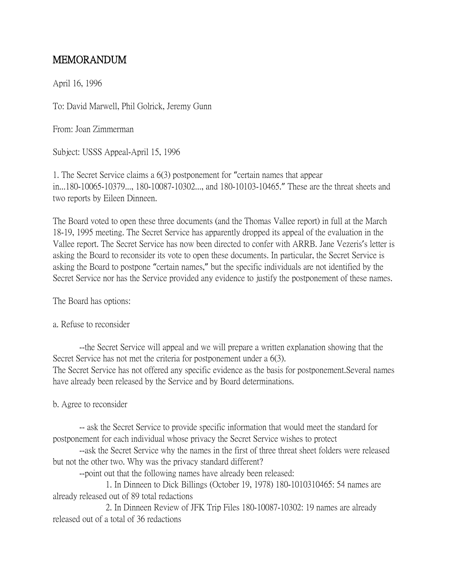## MEMORANDUM

April 16, 1996

To: David Marwell, Phil Golrick, Jeremy Gunn

From: Joan Zimmerman

Subject: USSS Appeal-April 15, 1996

1. The Secret Service claims a 6(3) postponement for "certain names that appear in...180-10065-10379..., 180-10087-10302..., and 180-10103-10465." These are the threat sheets and two reports by Eileen Dinneen.

The Board voted to open these three documents (and the Thomas Vallee report) in full at the March 18-19, 1995 meeting. The Secret Service has apparently dropped its appeal of the evaluation in the Vallee report. The Secret Service has now been directed to confer with ARRB. Jane Vezeris's letter is asking the Board to reconsider its vote to open these documents. In particular, the Secret Service is asking the Board to postpone "certain names," but the specific individuals are not identified by the Secret Service nor has the Service provided any evidence to justify the postponement of these names.

The Board has options:

## a. Refuse to reconsider

--the Secret Service will appeal and we will prepare a written explanation showing that the Secret Service has not met the criteria for postponement under a 6(3). The Secret Service has not offered any specific evidence as the basis for postponement.Several names have already been released by the Service and by Board determinations.

b. Agree to reconsider

-- ask the Secret Service to provide specific information that would meet the standard for postponement for each individual whose privacy the Secret Service wishes to protect

--ask the Secret Service why the names in the first of three threat sheet folders were released but not the other two. Why was the privacy standard different?

--point out that the following names have already been released:

1. In Dinneen to Dick Billings (October 19, 1978) 180-1010310465: 54 names are already released out of 89 total redactions

2. In Dinneen Review of JFK Trip Files 180-10087-10302: 19 names are already released out of a total of 36 redactions